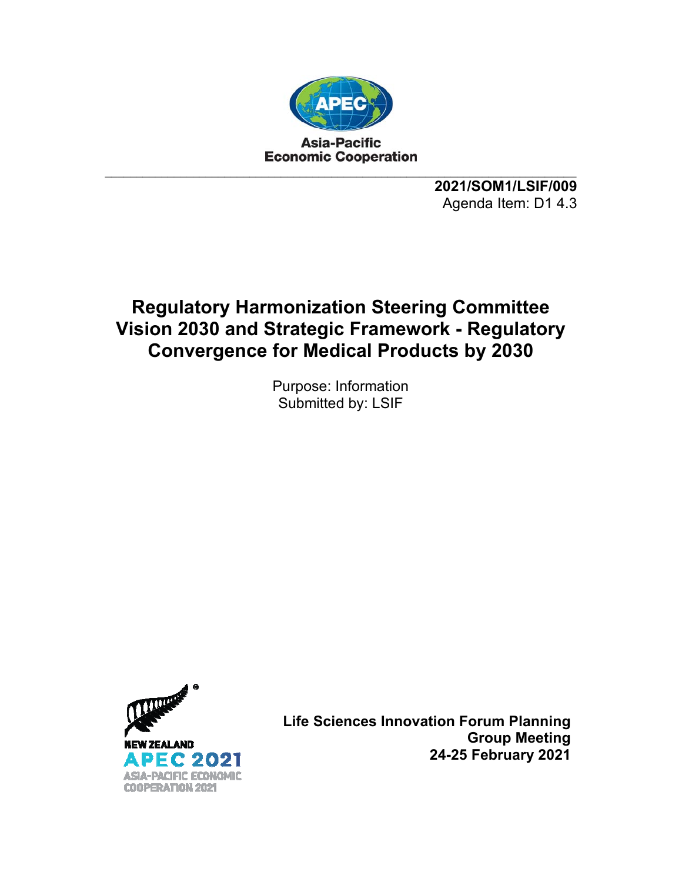

**2021/SOM1/LSIF/009**  Agenda Item: D1 4.3

## **Regulatory Harmonization Steering Committee Vision 2030 and Strategic Framework - Regulatory Convergence for Medical Products by 2030**

Purpose: Information Submitted by: LSIF



**Life Sciences Innovation Forum Planning Group Meeting 24-25 February 2021**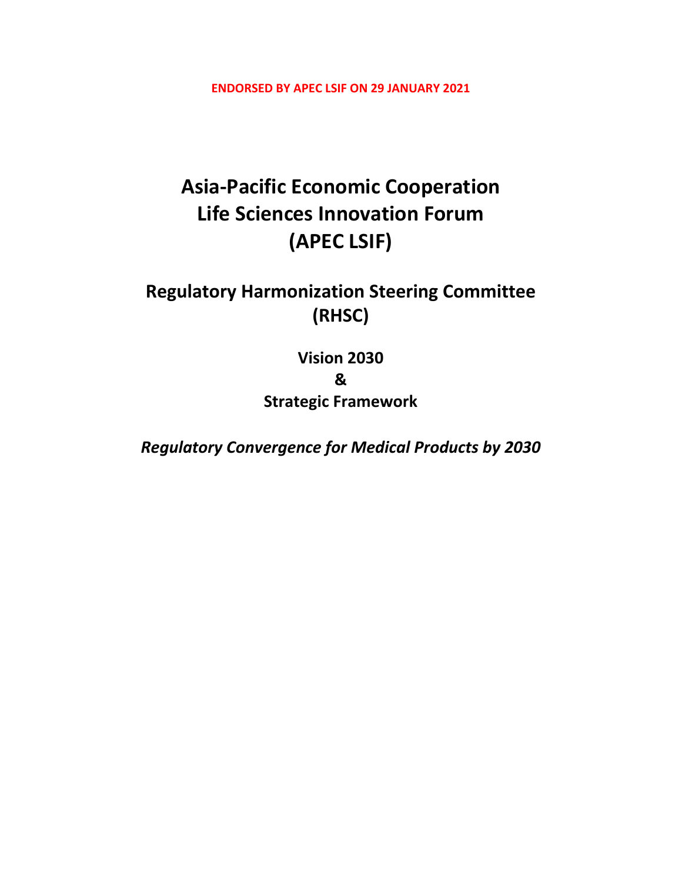**ENDORSED BY APEC LSIF ON 29 JANUARY 2021** 

# **Asia‐Pacific Economic Cooperation Life Sciences Innovation Forum (APEC LSIF)**

## **Regulatory Harmonization Steering Committee (RHSC)**

**Vision 2030 & Strategic Framework**

*Regulatory Convergence for Medical Products by 2030*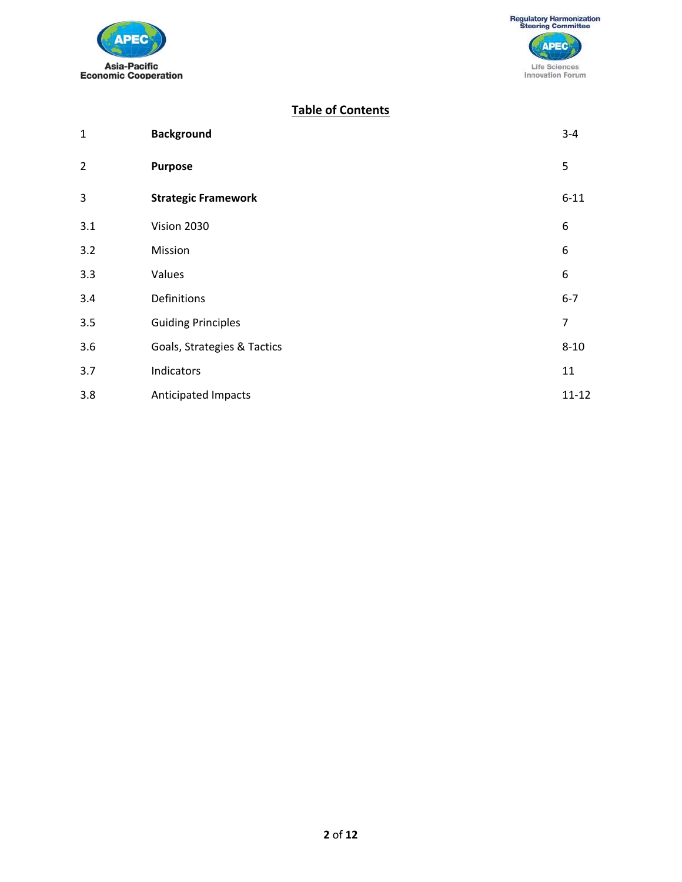



### **Table of Contents**

| $\mathbf 1$    | <b>Background</b>           | $3 - 4$        |
|----------------|-----------------------------|----------------|
| $\overline{2}$ | <b>Purpose</b>              | 5              |
| 3              | <b>Strategic Framework</b>  | $6 - 11$       |
| 3.1            | Vision 2030                 | 6              |
| 3.2            | Mission                     | 6              |
| 3.3            | Values                      | 6              |
| 3.4            | Definitions                 | $6 - 7$        |
| 3.5            | <b>Guiding Principles</b>   | $\overline{7}$ |
| 3.6            | Goals, Strategies & Tactics | $8 - 10$       |
| 3.7            | Indicators                  | 11             |
| 3.8            | <b>Anticipated Impacts</b>  | $11 - 12$      |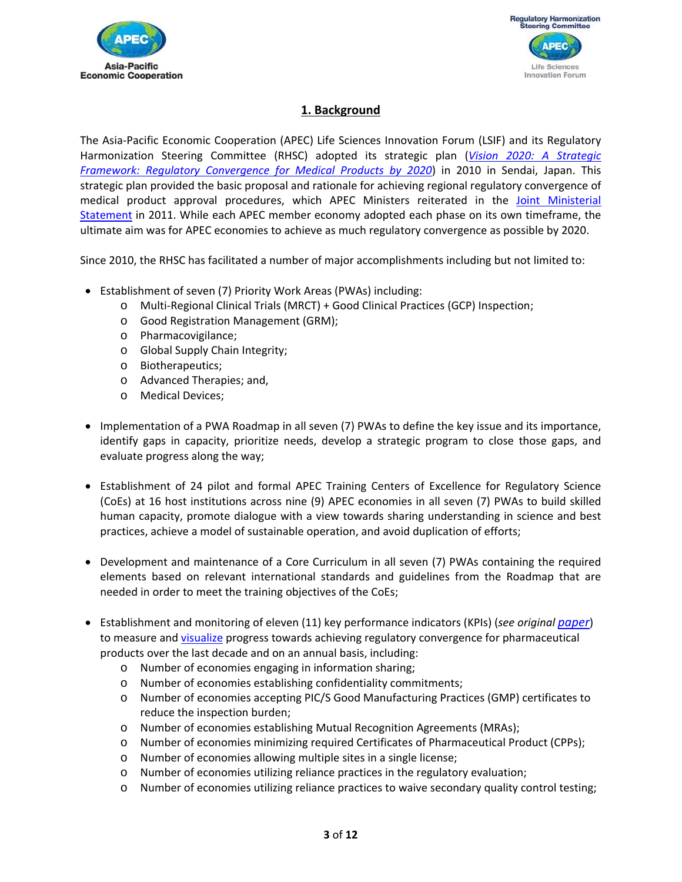



## **1. Background**

The Asia‐Pacific Economic Cooperation (APEC) Life Sciences Innovation Forum (LSIF) and its Regulatory Harmonization Steering Committee (RHSC) adopted its strategic plan (*Vision 2020: A Strategic Framework: Regulatory Convergence for Medical Products by 2020*) in 2010 in Sendai, Japan. This strategic plan provided the basic proposal and rationale for achieving regional regulatory convergence of medical product approval procedures, which APEC Ministers reiterated in the Joint Ministerial Statement in 2011. While each APEC member economy adopted each phase on its own timeframe, the ultimate aim was for APEC economies to achieve as much regulatory convergence as possible by 2020.

Since 2010, the RHSC has facilitated a number of major accomplishments including but not limited to:

- Establishment of seven (7) Priority Work Areas (PWAs) including:
	- o Multi‐Regional Clinical Trials (MRCT) + Good Clinical Practices (GCP) Inspection;
	- o Good Registration Management (GRM);
	- o Pharmacovigilance;
	- o Global Supply Chain Integrity;
	- o Biotherapeutics;
	- o Advanced Therapies; and,
	- o Medical Devices;
- Implementation of a PWA Roadmap in all seven (7) PWAs to define the key issue and its importance, identify gaps in capacity, prioritize needs, develop a strategic program to close those gaps, and evaluate progress along the way;
- Establishment of 24 pilot and formal APEC Training Centers of Excellence for Regulatory Science (CoEs) at 16 host institutions across nine (9) APEC economies in all seven (7) PWAs to build skilled human capacity, promote dialogue with a view towards sharing understanding in science and best practices, achieve a model of sustainable operation, and avoid duplication of efforts;
- Development and maintenance of a Core Curriculum in all seven (7) PWAs containing the required elements based on relevant international standards and guidelines from the Roadmap that are needed in order to meet the training objectives of the CoEs;
- Establishment and monitoring of eleven (11) key performance indicators (KPIs) (*see original paper*) to measure and visualize progress towards achieving regulatory convergence for pharmaceutical products over the last decade and on an annual basis, including:
	- o Number of economies engaging in information sharing;
	- o Number of economies establishing confidentiality commitments;
	- o Number of economies accepting PIC/S Good Manufacturing Practices (GMP) certificates to reduce the inspection burden;
	- o Number of economies establishing Mutual Recognition Agreements (MRAs);
	- o Number of economies minimizing required Certificates of Pharmaceutical Product (CPPs);
	- o Number of economies allowing multiple sites in a single license;
	- o Number of economies utilizing reliance practices in the regulatory evaluation;
	- o Number of economies utilizing reliance practices to waive secondary quality control testing;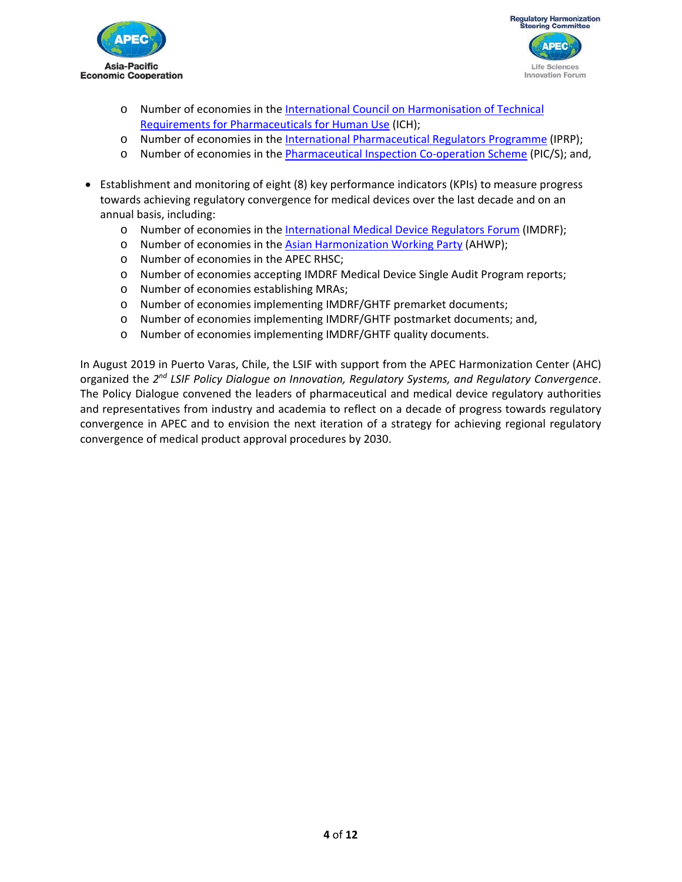



- o Number of economies in the International Council on Harmonisation of Technical Requirements for Pharmaceuticals for Human Use (ICH);
- o Number of economies in the International Pharmaceutical Regulators Programme (IPRP);
- o Number of economies in the Pharmaceutical Inspection Co‐operation Scheme (PIC/S); and,
- Establishment and monitoring of eight (8) key performance indicators (KPIs) to measure progress towards achieving regulatory convergence for medical devices over the last decade and on an annual basis, including:
	- o Number of economies in the International Medical Device Regulators Forum (IMDRF);
	- o Number of economies in the Asian Harmonization Working Party (AHWP);
	- o Number of economies in the APEC RHSC;
	- o Number of economies accepting IMDRF Medical Device Single Audit Program reports;
	- o Number of economies establishing MRAs;
	- o Number of economies implementing IMDRF/GHTF premarket documents;
	- o Number of economies implementing IMDRF/GHTF postmarket documents; and,
	- o Number of economies implementing IMDRF/GHTF quality documents.

In August 2019 in Puerto Varas, Chile, the LSIF with support from the APEC Harmonization Center (AHC) organized the *2nd LSIF Policy Dialogue on Innovation, Regulatory Systems, and Regulatory Convergence*. The Policy Dialogue convened the leaders of pharmaceutical and medical device regulatory authorities and representatives from industry and academia to reflect on a decade of progress towards regulatory convergence in APEC and to envision the next iteration of a strategy for achieving regional regulatory convergence of medical product approval procedures by 2030.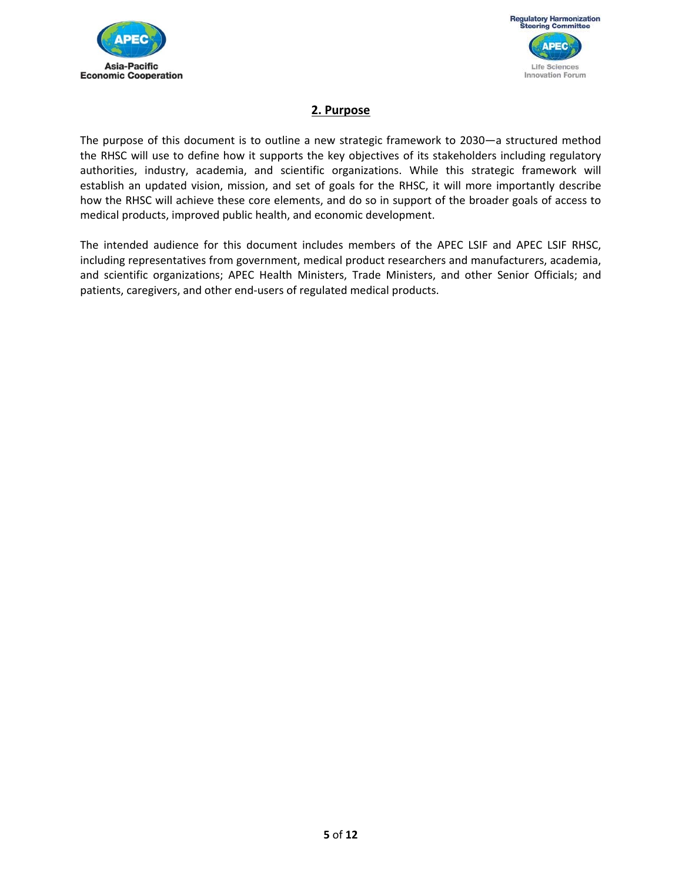



## **2. Purpose**

The purpose of this document is to outline a new strategic framework to 2030—a structured method the RHSC will use to define how it supports the key objectives of its stakeholders including regulatory authorities, industry, academia, and scientific organizations. While this strategic framework will establish an updated vision, mission, and set of goals for the RHSC, it will more importantly describe how the RHSC will achieve these core elements, and do so in support of the broader goals of access to medical products, improved public health, and economic development.

The intended audience for this document includes members of the APEC LSIF and APEC LSIF RHSC, including representatives from government, medical product researchers and manufacturers, academia, and scientific organizations; APEC Health Ministers, Trade Ministers, and other Senior Officials; and patients, caregivers, and other end‐users of regulated medical products.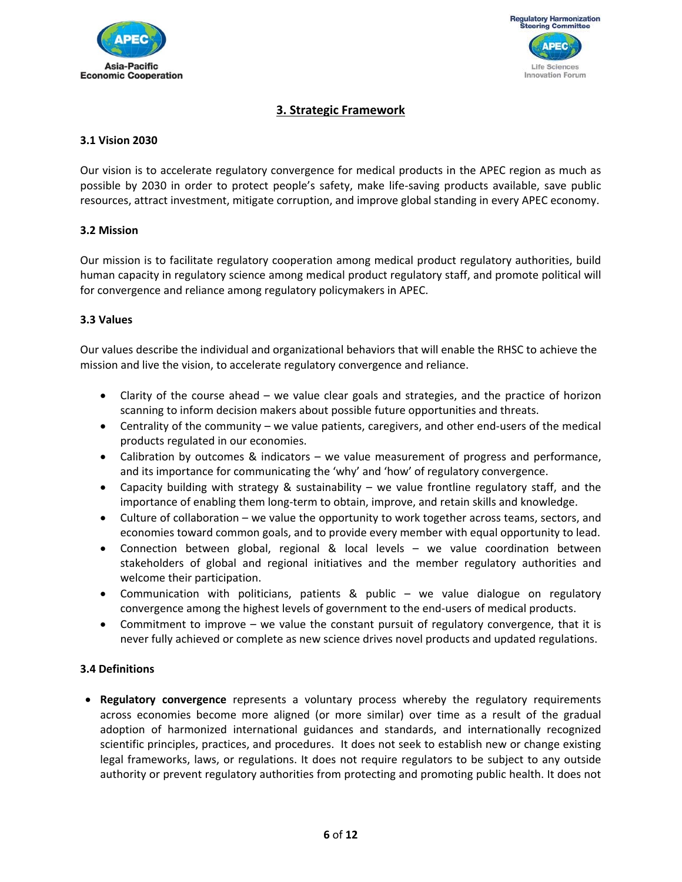



## **3. Strategic Framework**

#### **3.1 Vision 2030**

Our vision is to accelerate regulatory convergence for medical products in the APEC region as much as possible by 2030 in order to protect people's safety, make life‐saving products available, save public resources, attract investment, mitigate corruption, and improve global standing in every APEC economy.

#### **3.2 Mission**

Our mission is to facilitate regulatory cooperation among medical product regulatory authorities, build human capacity in regulatory science among medical product regulatory staff, and promote political will for convergence and reliance among regulatory policymakers in APEC.

#### **3.3 Values**

Our values describe the individual and organizational behaviors that will enable the RHSC to achieve the mission and live the vision, to accelerate regulatory convergence and reliance.

- Clarity of the course ahead we value clear goals and strategies, and the practice of horizon scanning to inform decision makers about possible future opportunities and threats.
- Centrality of the community we value patients, caregivers, and other end-users of the medical products regulated in our economies.
- Calibration by outcomes & indicators we value measurement of progress and performance, and its importance for communicating the 'why' and 'how' of regulatory convergence.
- Capacity building with strategy & sustainability  $-$  we value frontline regulatory staff, and the importance of enabling them long‐term to obtain, improve, and retain skills and knowledge.
- Culture of collaboration we value the opportunity to work together across teams, sectors, and economies toward common goals, and to provide every member with equal opportunity to lead.
- Connection between global, regional & local levels we value coordination between stakeholders of global and regional initiatives and the member regulatory authorities and welcome their participation.
- Communication with politicians, patients & public we value dialogue on regulatory convergence among the highest levels of government to the end‐users of medical products.
- Commitment to improve we value the constant pursuit of regulatory convergence, that it is never fully achieved or complete as new science drives novel products and updated regulations.

#### **3.4 Definitions**

**• Regulatory convergence** represents a voluntary process whereby the regulatory requirements across economies become more aligned (or more similar) over time as a result of the gradual adoption of harmonized international guidances and standards, and internationally recognized scientific principles, practices, and procedures. It does not seek to establish new or change existing legal frameworks, laws, or regulations. It does not require regulators to be subject to any outside authority or prevent regulatory authorities from protecting and promoting public health. It does not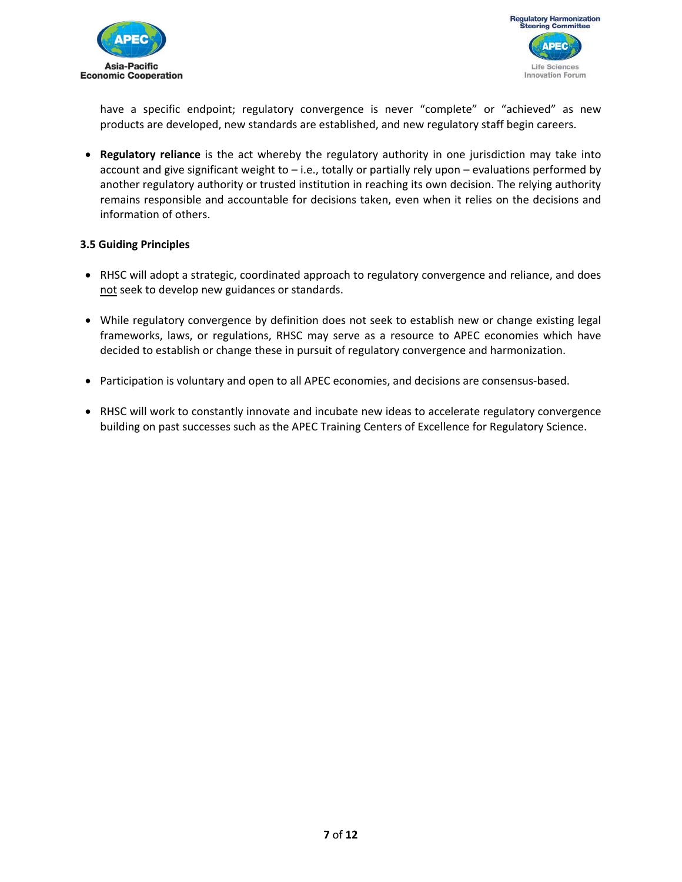



have a specific endpoint; regulatory convergence is never "complete" or "achieved" as new products are developed, new standards are established, and new regulatory staff begin careers.

**• Regulatory reliance** is the act whereby the regulatory authority in one jurisdiction may take into account and give significant weight to – i.e., totally or partially rely upon – evaluations performed by another regulatory authority or trusted institution in reaching its own decision. The relying authority remains responsible and accountable for decisions taken, even when it relies on the decisions and information of others.

#### **3.5 Guiding Principles**

- RHSC will adopt a strategic, coordinated approach to regulatory convergence and reliance, and does not seek to develop new guidances or standards.
- While regulatory convergence by definition does not seek to establish new or change existing legal frameworks, laws, or regulations, RHSC may serve as a resource to APEC economies which have decided to establish or change these in pursuit of regulatory convergence and harmonization.
- Participation is voluntary and open to all APEC economies, and decisions are consensus-based.
- RHSC will work to constantly innovate and incubate new ideas to accelerate regulatory convergence building on past successes such as the APEC Training Centers of Excellence for Regulatory Science.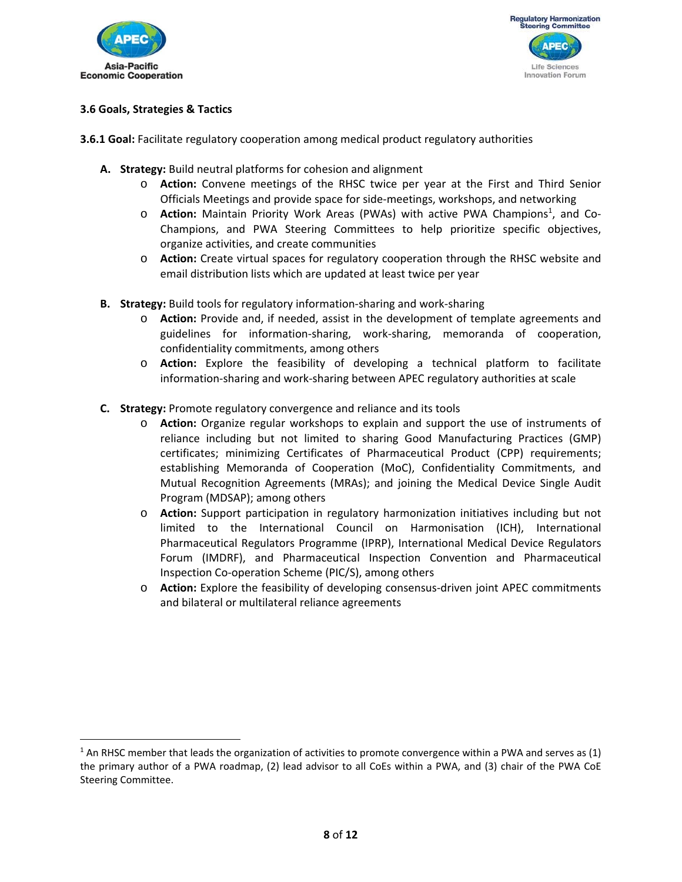

 $\overline{a}$ 



#### **3.6 Goals, Strategies & Tactics**

- **3.6.1 Goal:** Facilitate regulatory cooperation among medical product regulatory authorities
	- **A. Strategy:** Build neutral platforms for cohesion and alignment
		- o **Action:**  Convene meetings of the RHSC twice per year at the First and Third Senior Officials Meetings and provide space for side‐meetings, workshops, and networking
		- o **Action:** Maintain Priority Work Areas (PWAs) with active PWA Champions<sup>1</sup>, and Co-Champions, and PWA Steering Committees to help prioritize specific objectives, organize activities, and create communities
		- o **Action:** Create virtual spaces for regulatory cooperation through the RHSC website and email distribution lists which are updated at least twice per year
	- **B. Strategy:** Build tools for regulatory information‐sharing and work‐sharing
		- o **Action:** Provide and, if needed, assist in the development of template agreements and guidelines for information‐sharing, work‐sharing, memoranda of cooperation, confidentiality commitments, among others
		- o **Action:** Explore the feasibility of developing a technical platform to facilitate information‐sharing and work‐sharing between APEC regulatory authorities at scale
	- **C. Strategy:** Promote regulatory convergence and reliance and its tools
		- o **Action:** Organize regular workshops to explain and support the use of instruments of reliance including but not limited to sharing Good Manufacturing Practices (GMP) certificates; minimizing Certificates of Pharmaceutical Product (CPP) requirements; establishing Memoranda of Cooperation (MoC), Confidentiality Commitments, and Mutual Recognition Agreements (MRAs); and joining the Medical Device Single Audit Program (MDSAP); among others
		- o **Action:** Support participation in regulatory harmonization initiatives including but not limited to the International Council on Harmonisation (ICH), International Pharmaceutical Regulators Programme (IPRP), International Medical Device Regulators Forum (IMDRF), and Pharmaceutical Inspection Convention and Pharmaceutical Inspection Co‐operation Scheme (PIC/S), among others
		- o **Action:** Explore the feasibility of developing consensus‐driven joint APEC commitments and bilateral or multilateral reliance agreements

 $1$  An RHSC member that leads the organization of activities to promote convergence within a PWA and serves as (1) the primary author of a PWA roadmap, (2) lead advisor to all CoEs within a PWA, and (3) chair of the PWA CoE Steering Committee.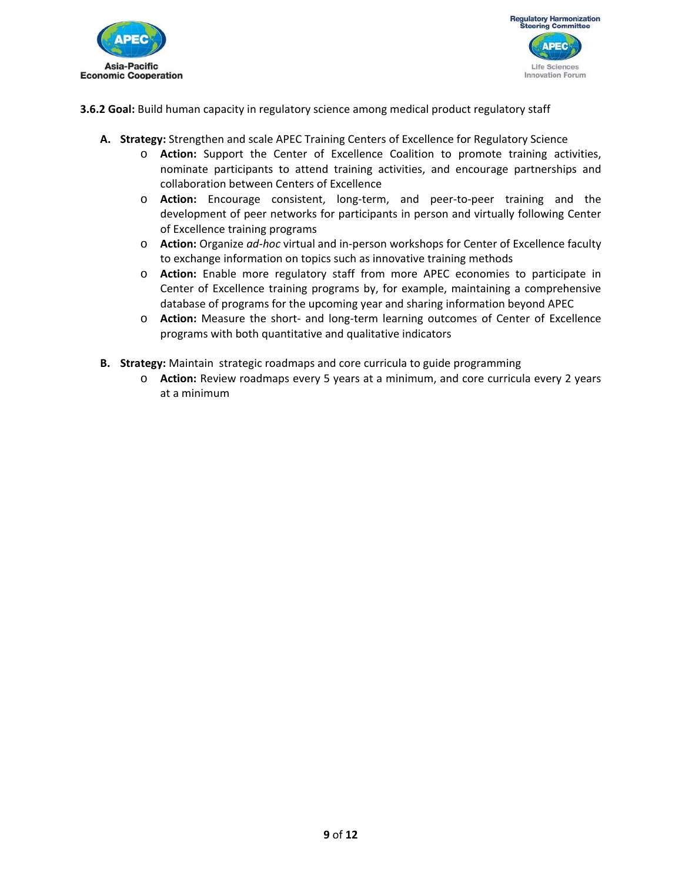



**3.6.2 Goal:** Build human capacity in regulatory science among medical product regulatory staff

- **A. Strategy:** Strengthen and scale APEC Training Centers of Excellence for Regulatory Science
	- o **Action:**  Support the Center of Excellence Coalition to promote training activities, nominate participants to attend training activities, and encourage partnerships and collaboration between Centers of Excellence
	- o **Action:**  Encourage consistent, long‐term, and peer‐to‐peer training and the development of peer networks for participants in person and virtually following Center of Excellence training programs
	- o **Action:** Organize *ad‐hoc* virtual and in‐person workshops for Center of Excellence faculty to exchange information on topics such as innovative training methods
	- o **Action:**  Enable more regulatory staff from more APEC economies to participate in Center of Excellence training programs by, for example, maintaining a comprehensive database of programs for the upcoming year and sharing information beyond APEC
	- o **Action:** Measure the short‐ and long‐term learning outcomes of Center of Excellence programs with both quantitative and qualitative indicators
- **B. Strategy:** Maintain strategic roadmaps and core curricula to guide programming
	- o **Action:** Review roadmaps every 5 years at a minimum, and core curricula every 2 years at a minimum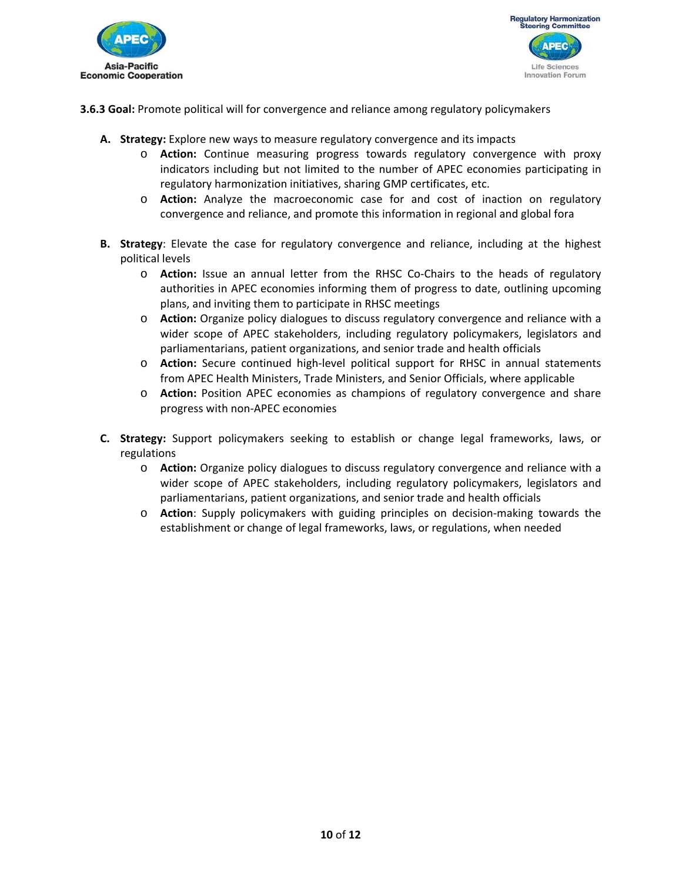



**3.6.3 Goal:** Promote political will for convergence and reliance among regulatory policymakers

- **A. Strategy:** Explore new ways to measure regulatory convergence and its impacts
	- o **Action:**  Continue measuring progress towards regulatory convergence with proxy indicators including but not limited to the number of APEC economies participating in regulatory harmonization initiatives, sharing GMP certificates, etc.
	- o **Action:**  Analyze the macroeconomic case for and cost of inaction on regulatory convergence and reliance, and promote this information in regional and global fora
- **B. Strategy**: Elevate the case for regulatory convergence and reliance, including at the highest political levels
	- o **Action:**  Issue an annual letter from the RHSC Co‐Chairs to the heads of regulatory authorities in APEC economies informing them of progress to date, outlining upcoming plans, and inviting them to participate in RHSC meetings
	- o **Action:** Organize policy dialogues to discuss regulatory convergence and reliance with a wider scope of APEC stakeholders, including regulatory policymakers, legislators and parliamentarians, patient organizations, and senior trade and health officials
	- o **Action:**  Secure continued high‐level political support for RHSC in annual statements from APEC Health Ministers, Trade Ministers, and Senior Officials, where applicable
	- o **Action:** Position APEC economies as champions of regulatory convergence and share progress with non‐APEC economies
- **C. Strategy:** Support policymakers seeking to establish or change legal frameworks, laws, or regulations
	- o **Action:** Organize policy dialogues to discuss regulatory convergence and reliance with a wider scope of APEC stakeholders, including regulatory policymakers, legislators and parliamentarians, patient organizations, and senior trade and health officials
	- o **Action**: Supply policymakers with guiding principles on decision‐making towards the establishment or change of legal frameworks, laws, or regulations, when needed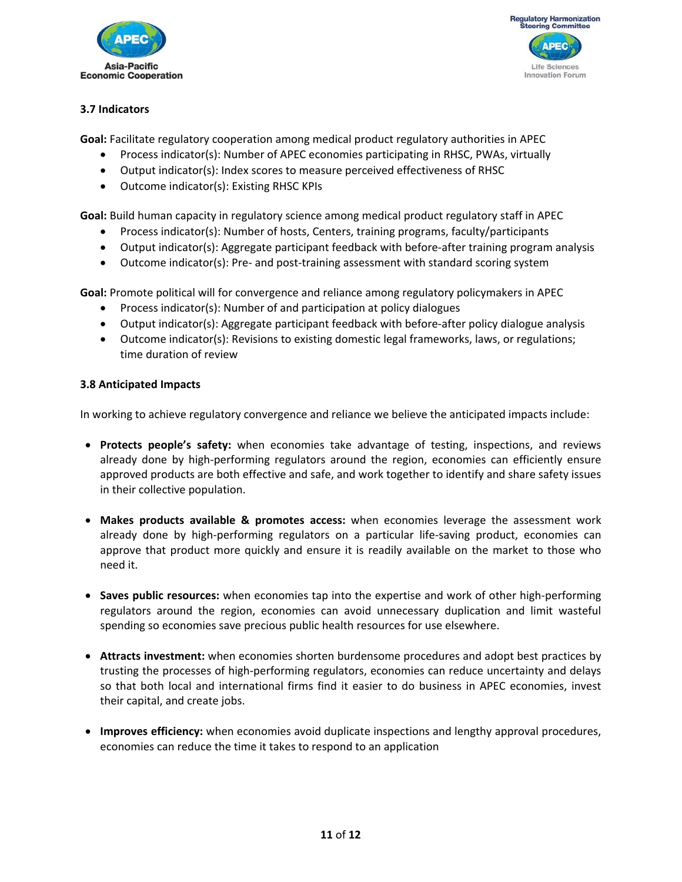



### **3.7 Indicators**

**Goal:** Facilitate regulatory cooperation among medical product regulatory authorities in APEC

- Process indicator(s): Number of APEC economies participating in RHSC, PWAs, virtually
- Output indicator(s): Index scores to measure perceived effectiveness of RHSC
- Outcome indicator(s): Existing RHSC KPIs

**Goal:** Build human capacity in regulatory science among medical product regulatory staff in APEC

- Process indicator(s): Number of hosts, Centers, training programs, faculty/participants
- Output indicator(s): Aggregate participant feedback with before-after training program analysis
- Outcome indicator(s): Pre- and post-training assessment with standard scoring system

**Goal:** Promote political will for convergence and reliance among regulatory policymakers in APEC

- Process indicator(s): Number of and participation at policy dialogues
- Output indicator(s): Aggregate participant feedback with before-after policy dialogue analysis
- Outcome indicator(s): Revisions to existing domestic legal frameworks, laws, or regulations; time duration of review

#### **3.8 Anticipated Impacts**

In working to achieve regulatory convergence and reliance we believe the anticipated impacts include:

- **Protects people's safety:** when economies take advantage of testing, inspections, and reviews already done by high-performing regulators around the region, economies can efficiently ensure approved products are both effective and safe, and work together to identify and share safety issues in their collective population.
- **Makes products available & promotes access:** when economies leverage the assessment work already done by high‐performing regulators on a particular life‐saving product, economies can approve that product more quickly and ensure it is readily available on the market to those who need it.
- Saves public resources: when economies tap into the expertise and work of other high-performing regulators around the region, economies can avoid unnecessary duplication and limit wasteful spending so economies save precious public health resources for use elsewhere.
- **Attracts investment:** when economies shorten burdensome procedures and adopt best practices by trusting the processes of high‐performing regulators, economies can reduce uncertainty and delays so that both local and international firms find it easier to do business in APEC economies, invest their capital, and create jobs.
- **Improves efficiency:** when economies avoid duplicate inspections and lengthy approval procedures, economies can reduce the time it takes to respond to an application